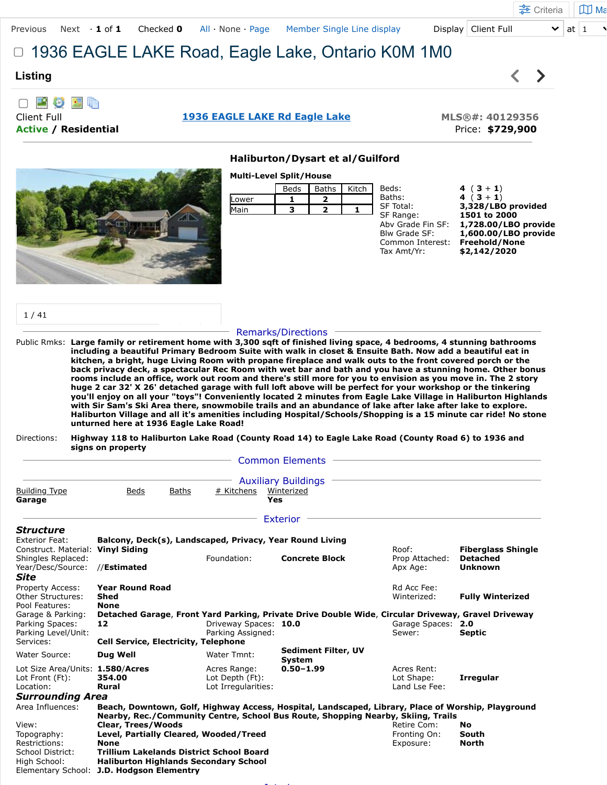**҈** [Criteria](javascript:__doPostBack() | Ⅲ Ma

# □ 1936 EAGLE LAKE Road, Eagle Lake, Ontario K0M 1M0

### **Listing**

### □■●■●

**Active / Residential** Price: **\$729,900**

#### Client Full **[1936 EAGLE LAKE Rd](javascript:Dpy.mapPopup() Eagle Lake MLS®#: 40129356**

 $\langle$ 

ゝ



Elementary School: **J.D. Hodgson Elementry**

**Multi-Level Split/House**

**Haliburton/Dysart et al/Guilford**

|      | Beds | Baths | Kitch |  |
|------|------|-------|-------|--|
| ower |      |       |       |  |
| Main |      |       |       |  |
|      |      |       |       |  |

Baths: **4** (  $3 + 1$ ) Common Interest: **Freehold/None** Tax Amt/Yr: **\$2,142/2020**

Beds: **4** (  $3 + 1$ ) SF Total: **3,328/LBO provided** SF Range: **1501 to 2000** Abv Grade Fin SF: **1,728.00/LBO provide** Blw Grade SF: **1,600.00/LBO provide**

1 / 41

#### Remarks/Directions

Public Rmks: **Large family or retirement home with 3,300 sqft of finished living space, 4 bedrooms, 4 stunning bathrooms including a beautiful Primary Bedroom Suite with walk in closet & Ensuite Bath. Now add a beautiful eat in kitchen, a bright, huge Living Room with propane fireplace and walk outs to the front covered porch or the back privacy deck, a spectacular Rec Room with wet bar and bath and you have a stunning home. Other bonus rooms include an office, work out room and there's still more for you to envision as you move in. The 2 story huge 2 car 32' X 26' detached garage with full loft above will be perfect for your workshop or the tinkering you'll enjoy on all your "toys"! Conveniently located 2 minutes from Eagle Lake Village in Haliburton Highlands with Sir Sam's Ski Area there, snowmobile trails and an abundance of lake after lake after lake to explore. Haliburton Village and all it's amenities including Hospital/Schools/Shopping is a 15 minute car ride! No stone unturned here at 1936 Eagle Lake Road!**

Directions: **Highway 118 to Haliburton Lake Road (County Road 14) to Eagle Lake Road (County Road 6) to 1936 and signs on property**

Common Elements

|                          |                                                          |                       | <b>Auxiliary Buildings</b>                                                                         |                    |                           |  |
|--------------------------|----------------------------------------------------------|-----------------------|----------------------------------------------------------------------------------------------------|--------------------|---------------------------|--|
| <b>Building Type</b>     | Baths<br>Beds                                            | # Kitchens            | Winterized                                                                                         |                    |                           |  |
| Garage                   |                                                          | Yes                   |                                                                                                    |                    |                           |  |
|                          |                                                          |                       | Exterior                                                                                           |                    |                           |  |
| Structure                |                                                          |                       |                                                                                                    |                    |                           |  |
| <b>Exterior Feat:</b>    | Balcony, Deck(s), Landscaped, Privacy, Year Round Living |                       |                                                                                                    |                    |                           |  |
| Construct. Material:     | <b>Vinyl Siding</b>                                      |                       |                                                                                                    | Roof:              | <b>Fiberglass Shingle</b> |  |
| Shingles Replaced:       |                                                          | Foundation:           | <b>Concrete Block</b>                                                                              | Prop Attached:     | <b>Detached</b>           |  |
| Year/Desc/Source:        | //Estimated                                              |                       |                                                                                                    | Apx Age:           | <b>Unknown</b>            |  |
| Site                     |                                                          |                       |                                                                                                    |                    |                           |  |
| Property Access:         | <b>Year Round Road</b>                                   |                       |                                                                                                    | Rd Acc Fee:        |                           |  |
| <b>Other Structures:</b> | Shed                                                     |                       |                                                                                                    | Winterized:        | <b>Fully Winterized</b>   |  |
| Pool Features:           | <b>None</b>                                              |                       |                                                                                                    |                    |                           |  |
| Garage & Parking:        |                                                          |                       | Detached Garage, Front Yard Parking, Private Drive Double Wide, Circular Driveway, Gravel Driveway |                    |                           |  |
| Parking Spaces:          | 12                                                       | Driveway Spaces: 10.0 |                                                                                                    | Garage Spaces: 2.0 |                           |  |
| Parking Level/Unit:      |                                                          | Parking Assigned:     |                                                                                                    | Sewer:             | Septic                    |  |
| Services:                | <b>Cell Service, Electricity, Telephone</b>              |                       |                                                                                                    |                    |                           |  |
| Water Source:            | Dug Well                                                 | Water Tmnt:           | <b>Sediment Filter, UV</b><br>System                                                               |                    |                           |  |
| Lot Size Area/Units:     | 1.580/Acres                                              | Acres Range:          | $0.50 - 1.99$                                                                                      | Acres Rent:        |                           |  |
| Lot Front (Ft):          | 354.00                                                   | Lot Depth (Ft):       |                                                                                                    | Lot Shape:         | <b>Irregular</b>          |  |
| Location:                | Rural                                                    | Lot Irregularities:   |                                                                                                    | Land Lse Fee:      |                           |  |
| Surrounding Area         |                                                          |                       |                                                                                                    |                    |                           |  |
| Area Influences:         |                                                          |                       | Beach, Downtown, Golf, Highway Access, Hospital, Landscaped, Library, Place of Worship, Playground |                    |                           |  |
|                          |                                                          |                       | Nearby, Rec./Community Centre, School Bus Route, Shopping Nearby, Skiing, Trails                   |                    |                           |  |
| View:                    | <b>Clear, Trees/Woods</b>                                |                       |                                                                                                    | Retire Com:        | No                        |  |
| Topography:              | Level, Partially Cleared, Wooded/Treed                   |                       |                                                                                                    | Fronting On:       | South                     |  |
| Restrictions:            | <b>None</b>                                              |                       |                                                                                                    | Exposure:          | North                     |  |
| School District:         | <b>Trillium Lakelands District School Board</b>          |                       |                                                                                                    |                    |                           |  |
| High School:             | <b>Haliburton Highlands Secondary School</b>             |                       |                                                                                                    |                    |                           |  |

<u>\_</u> . .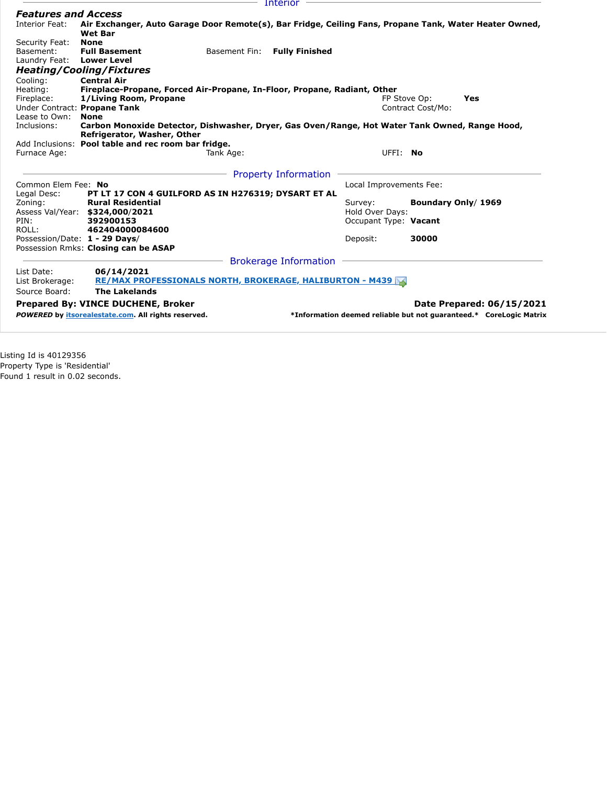|                               |                                                                                                |                   | Interior                     |                         |                                                                                                        |
|-------------------------------|------------------------------------------------------------------------------------------------|-------------------|------------------------------|-------------------------|--------------------------------------------------------------------------------------------------------|
| <b>Features and Access</b>    |                                                                                                |                   |                              |                         |                                                                                                        |
| Interior Feat:                | <b>Wet Bar</b>                                                                                 |                   |                              |                         | Air Exchanger, Auto Garage Door Remote(s), Bar Fridge, Ceiling Fans, Propane Tank, Water Heater Owned, |
| Security Feat:                | <b>None</b>                                                                                    |                   |                              |                         |                                                                                                        |
| Basement:                     | <b>Full Basement</b>                                                                           |                   | Basement Fin: Fully Finished |                         |                                                                                                        |
| Laundry Feat:                 | <b>Lower Level</b>                                                                             |                   |                              |                         |                                                                                                        |
|                               | <b>Heating/Cooling/Fixtures</b>                                                                |                   |                              |                         |                                                                                                        |
| Cooling:                      | <b>Central Air</b>                                                                             |                   |                              |                         |                                                                                                        |
| Heating:                      | Fireplace-Propane, Forced Air-Propane, In-Floor, Propane, Radiant, Other                       |                   |                              |                         |                                                                                                        |
| Fireplace:                    | 1/Living Room, Propane                                                                         |                   |                              |                         | FP Stove Op:<br>Yes                                                                                    |
| Under Contract: Propane Tank  |                                                                                                | Contract Cost/Mo: |                              |                         |                                                                                                        |
| Lease to Own:                 | <b>None</b>                                                                                    |                   |                              |                         |                                                                                                        |
| Inclusions:                   | Carbon Monoxide Detector, Dishwasher, Dryer, Gas Oven/Range, Hot Water Tank Owned, Range Hood, |                   |                              |                         |                                                                                                        |
|                               | Refrigerator, Washer, Other<br>Add Inclusions: Pool table and rec room bar fridge.             |                   |                              |                         |                                                                                                        |
| Furnace Age:                  |                                                                                                | Tank Age:         |                              | UFFI: No                |                                                                                                        |
|                               |                                                                                                |                   |                              |                         |                                                                                                        |
|                               |                                                                                                |                   | <b>Property Information</b>  |                         |                                                                                                        |
| Common Elem Fee: No           |                                                                                                |                   |                              | Local Improvements Fee: |                                                                                                        |
| Legal Desc:                   | PT LT 17 CON 4 GUILFORD AS IN H276319; DYSART ET AL                                            |                   |                              |                         |                                                                                                        |
| Zoning:                       | <b>Rural Residential</b>                                                                       |                   |                              | Survey:                 | Boundary Only/ 1969                                                                                    |
|                               | Assess Val/Year: \$324,000/2021                                                                |                   |                              | Hold Over Days:         |                                                                                                        |
| PIN:                          | 392900153                                                                                      |                   |                              | Occupant Type: Vacant   |                                                                                                        |
| ROLL:                         | 462404000084600                                                                                |                   |                              |                         |                                                                                                        |
| Possession/Date: 1 - 29 Days/ |                                                                                                |                   |                              | Deposit:                | 30000                                                                                                  |
|                               | Possession Rmks: Closing can be ASAP                                                           |                   |                              |                         |                                                                                                        |
|                               |                                                                                                |                   | <b>Brokerage Information</b> |                         |                                                                                                        |
| List Date:                    | 06/14/2021                                                                                     |                   |                              |                         |                                                                                                        |
| List Brokerage:               | <b>RE/MAX PROFESSIONALS NORTH, BROKERAGE, HALIBURTON - M439</b>                                |                   |                              |                         |                                                                                                        |
| Source Board:                 | <b>The Lakelands</b>                                                                           |                   |                              |                         |                                                                                                        |
|                               | <b>Prepared By: VINCE DUCHENE, Broker</b>                                                      |                   |                              |                         | Date Prepared: 06/15/2021                                                                              |
|                               | POWERED by itsorealestate.com. All rights reserved.                                            |                   |                              |                         | *Information deemed reliable but not guaranteed.* CoreLogic Matrix                                     |
|                               |                                                                                                |                   |                              |                         |                                                                                                        |

Listing Id is 40129356 Property Type is 'Residential' Found 1 result in 0.02 seconds.